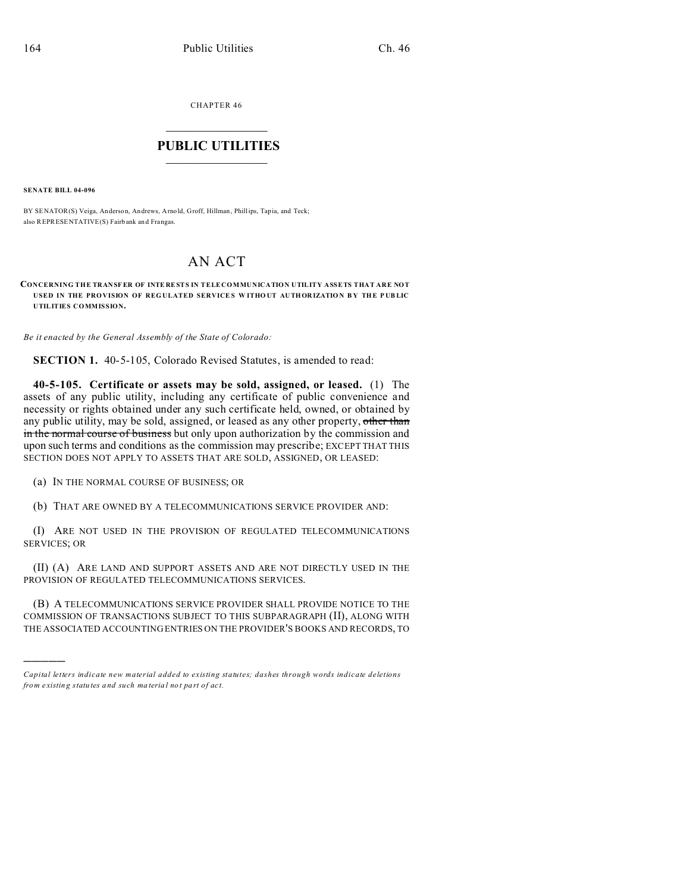CHAPTER 46  $\overline{\phantom{a}}$  , where  $\overline{\phantom{a}}$ 

## **PUBLIC UTILITIES**  $\frac{1}{\sqrt{2}}$  ,  $\frac{1}{\sqrt{2}}$  ,  $\frac{1}{\sqrt{2}}$  ,  $\frac{1}{\sqrt{2}}$  ,  $\frac{1}{\sqrt{2}}$  ,  $\frac{1}{\sqrt{2}}$

**SENATE BILL 04-096**

)))))

BY SENATOR(S) Veiga, Anderson, An drews, Arnold, Groff, Hillman, Phillips, Tapia, and Teck; also REPRESENTATIVE(S) Fairb ank an d Frangas.

## AN ACT

**CONCERNING THE TRANSF ER OF INTE RESTS IN TELECOMMUNICATION UTILITY ASSETS THAT ARE NOT USED IN THE PRO VISION OF REG ULATED SERVICE S W ITHO UT AUTHOR IZATIO N B Y THE P UB LIC UTILITIES COMMISSION.**

*Be it enacted by the General Assembly of the State of Colorado:*

**SECTION 1.** 40-5-105, Colorado Revised Statutes, is amended to read:

**40-5-105. Certificate or assets may be sold, assigned, or leased.** (1) The assets of any public utility, including any certificate of public convenience and necessity or rights obtained under any such certificate held, owned, or obtained by any public utility, may be sold, assigned, or leased as any other property, other than in the normal course of business but only upon authorization by the commission and upon such terms and conditions as the commission may prescribe; EXCEPT THAT THIS SECTION DOES NOT APPLY TO ASSETS THAT ARE SOLD, ASSIGNED, OR LEASED:

(a) IN THE NORMAL COURSE OF BUSINESS; OR

(b) THAT ARE OWNED BY A TELECOMMUNICATIONS SERVICE PROVIDER AND:

(I) ARE NOT USED IN THE PROVISION OF REGULATED TELECOMMUNICATIONS SERVICES; OR

(II) (A) ARE LAND AND SUPPORT ASSETS AND ARE NOT DIRECTLY USED IN THE PROVISION OF REGULATED TELECOMMUNICATIONS SERVICES.

(B) A TELECOMMUNICATIONS SERVICE PROVIDER SHALL PROVIDE NOTICE TO THE COMMISSION OF TRANSACTIONS SUBJECT TO THIS SUBPARAGRAPH (II), ALONG WITH THE ASSOCIATED ACCOUNTING ENTRIES ON THE PROVIDER'S BOOKS AND RECORDS, TO

*Capital letters indicate new material added to existing statutes; dashes through words indicate deletions from e xistin g statu tes a nd such ma teria l no t pa rt of ac t.*